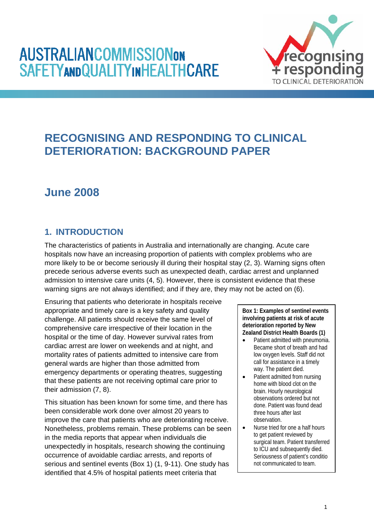# **AUSTRALIANCOMMISSIONON SAFETYANDQUALITYINHEALTHCARE**



# **RECOGNISING AND RESPONDING TO CLINICAL DETERIORATION: BACKGROUND PAPER**

# **June 2008**

# **1. INTRODUCTION**

The characteristics of patients in Australia and internationally are changing. Acute care hospitals now have an increasing proportion of patients with complex problems who are more likely to be or become seriously ill during their hospital stay (2, 3). Warning signs often precede serious adverse events such as unexpected death, cardiac arrest and unplanned admission to intensive care units (4, 5). However, there is consistent evidence that these warning signs are not always identified; and if they are, they may not be acted on (6).

Ensuring that patients who deteriorate in hospitals receive appropriate and timely care is a key safety and quality challenge. All patients should receive the same level of comprehensive care irrespective of their location in the hospital or the time of day. However survival rates from cardiac arrest are lower on weekends and at night, and mortality rates of patients admitted to intensive care from general wards are higher than those admitted from emergency departments or operating theatres, suggesting that these patients are not receiving optimal care prior to their admission (7, 8).

This situation has been known for some time, and there has been considerable work done over almost 20 years to improve the care that patients who are deteriorating receive. Nonetheless, problems remain. These problems can be seen in the media reports that appear when individuals die unexpectedly in hospitals, research showing the continuing occurrence of avoidable cardiac arrests, and reports of serious and sentinel events (Box 1) (1, 9-11). One study has identified that 4.5% of hospital patients meet criteria that

**Box 1: Examples of sentinel events involving patients at risk of acute deterioration reported by New Zealand District Health Boards (1)** 

- Patient admitted with pneumonia. Became short of breath and had low oxygen levels. Staff did not call for assistance in a timely way. The patient died.
- Patient admitted from nursing home with blood clot on the brain. Hourly neurological observations ordered but not done. Patient was found dead three hours after last observation.
- Nurse tried for one a half hours to get patient reviewed by surgical team. Patient transferred to ICU and subsequently died. Seriousness of patient's conditio not communicated to team.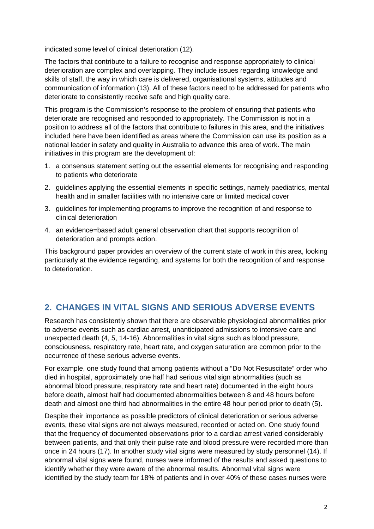indicated some level of clinical deterioration (12).

The factors that contribute to a failure to recognise and response appropriately to clinical deterioration are complex and overlapping. They include issues regarding knowledge and skills of staff, the way in which care is delivered, organisational systems, attitudes and communication of information (13). All of these factors need to be addressed for patients who deteriorate to consistently receive safe and high quality care.

This program is the Commission's response to the problem of ensuring that patients who deteriorate are recognised and responded to appropriately. The Commission is not in a position to address all of the factors that contribute to failures in this area, and the initiatives included here have been identified as areas where the Commission can use its position as a national leader in safety and quality in Australia to advance this area of work. The main initiatives in this program are the development of:

- 1. a consensus statement setting out the essential elements for recognising and responding to patients who deteriorate
- 2. guidelines applying the essential elements in specific settings, namely paediatrics, mental health and in smaller facilities with no intensive care or limited medical cover
- 3. guidelines for implementing programs to improve the recognition of and response to clinical deterioration
- 4. an evidence=based adult general observation chart that supports recognition of deterioration and prompts action.

This background paper provides an overview of the current state of work in this area, looking particularly at the evidence regarding, and systems for both the recognition of and response to deterioration.

# **2. CHANGES IN VITAL SIGNS AND SERIOUS ADVERSE EVENTS**

Research has consistently shown that there are observable physiological abnormalities prior to adverse events such as cardiac arrest, unanticipated admissions to intensive care and unexpected death (4, 5, 14-16). Abnormalities in vital signs such as blood pressure, consciousness, respiratory rate, heart rate, and oxygen saturation are common prior to the occurrence of these serious adverse events.

For example, one study found that among patients without a "Do Not Resuscitate" order who died in hospital, approximately one half had serious vital sign abnormalities (such as abnormal blood pressure, respiratory rate and heart rate) documented in the eight hours before death, almost half had documented abnormalities between 8 and 48 hours before death and almost one third had abnormalities in the entire 48 hour period prior to death (5).

Despite their importance as possible predictors of clinical deterioration or serious adverse events, these vital signs are not always measured, recorded or acted on. One study found that the frequency of documented observations prior to a cardiac arrest varied considerably between patients, and that only their pulse rate and blood pressure were recorded more than once in 24 hours (17). In another study vital signs were measured by study personnel (14). If abnormal vital signs were found, nurses were informed of the results and asked questions to identify whether they were aware of the abnormal results. Abnormal vital signs were identified by the study team for 18% of patients and in over 40% of these cases nurses were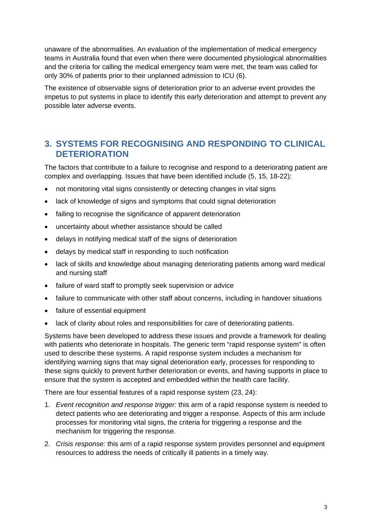unaware of the abnormalities. An evaluation of the implementation of medical emergency teams in Australia found that even when there were documented physiological abnormalities and the criteria for calling the medical emergency team were met, the team was called for only 30% of patients prior to their unplanned admission to ICU (6).

The existence of observable signs of deterioration prior to an adverse event provides the impetus to put systems in place to identify this early deterioration and attempt to prevent any possible later adverse events.

# **3. SYSTEMS FOR RECOGNISING AND RESPONDING TO CLINICAL DETERIORATION**

The factors that contribute to a failure to recognise and respond to a deteriorating patient are complex and overlapping. Issues that have been identified include (5, 15, 18-22):

- not monitoring vital signs consistently or detecting changes in vital signs
- lack of knowledge of signs and symptoms that could signal deterioration
- failing to recognise the significance of apparent deterioration
- uncertainty about whether assistance should be called
- delays in notifying medical staff of the signs of deterioration
- delays by medical staff in responding to such notification
- lack of skills and knowledge about managing deteriorating patients among ward medical and nursing staff
- failure of ward staff to promptly seek supervision or advice
- failure to communicate with other staff about concerns, including in handover situations
- failure of essential equipment
- lack of clarity about roles and responsibilities for care of deteriorating patients.

Systems have been developed to address these issues and provide a framework for dealing with patients who deteriorate in hospitals. The generic term "rapid response system" is often used to describe these systems. A rapid response system includes a mechanism for identifying warning signs that may signal deterioration early, processes for responding to these signs quickly to prevent further deterioration or events, and having supports in place to ensure that the system is accepted and embedded within the health care facility.

There are four essential features of a rapid response system (23, 24):

- 1. *Event recognition and response trigger:* this arm of a rapid response system is needed to detect patients who are deteriorating and trigger a response. Aspects of this arm include processes for monitoring vital signs, the criteria for triggering a response and the mechanism for triggering the response.
- 2. *Crisis response:* this arm of a rapid response system provides personnel and equipment resources to address the needs of critically ill patients in a timely way.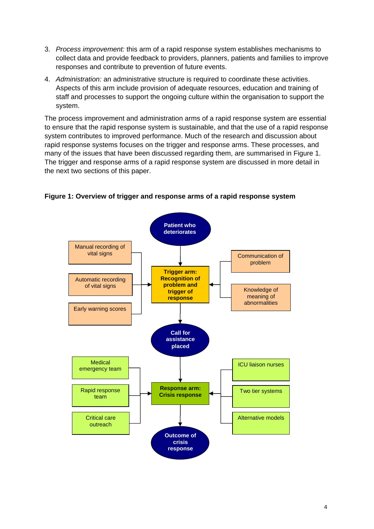- 3. *Process improvement:* this arm of a rapid response system establishes mechanisms to collect data and provide feedback to providers, planners, patients and families to improve responses and contribute to prevention of future events.
- 4. *Administration:* an administrative structure is required to coordinate these activities. Aspects of this arm include provision of adequate resources, education and training of staff and processes to support the ongoing culture within the organisation to support the system.

The process improvement and administration arms of a rapid response system are essential to ensure that the rapid response system is sustainable, and that the use of a rapid response system contributes to improved performance. Much of the research and discussion about rapid response systems focuses on the trigger and response arms. These processes, and many of the issues that have been discussed regarding them, are summarised in Figure 1. The trigger and response arms of a rapid response system are discussed in more detail in the next two sections of this paper.



**Figure 1: Overview of trigger and response arms of a rapid response system**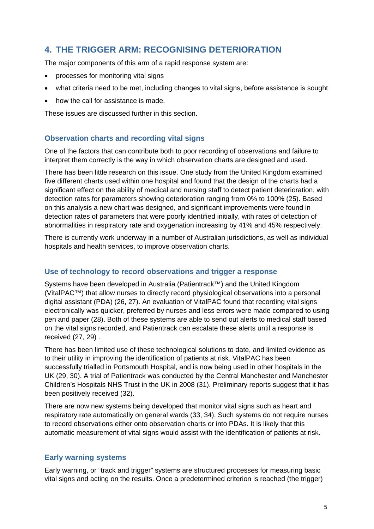# **4. THE TRIGGER ARM: RECOGNISING DETERIORATION**

The major components of this arm of a rapid response system are:

- processes for monitoring vital signs
- what criteria need to be met, including changes to vital signs, before assistance is sought
- how the call for assistance is made.

These issues are discussed further in this section.

# **Observation charts and recording vital signs**

One of the factors that can contribute both to poor recording of observations and failure to interpret them correctly is the way in which observation charts are designed and used.

There has been little research on this issue. One study from the United Kingdom examined five different charts used within one hospital and found that the design of the charts had a significant effect on the ability of medical and nursing staff to detect patient deterioration, with detection rates for parameters showing deterioration ranging from 0% to 100% (25). Based on this analysis a new chart was designed, and significant improvements were found in detection rates of parameters that were poorly identified initially, with rates of detection of abnormalities in respiratory rate and oxygenation increasing by 41% and 45% respectively.

There is currently work underway in a number of Australian jurisdictions, as well as individual hospitals and health services, to improve observation charts.

## **Use of technology to record observations and trigger a response**

Systems have been developed in Australia (Patientrack™) and the United Kingdom (VitalPAC™) that allow nurses to directly record physiological observations into a personal digital assistant (PDA) (26, 27). An evaluation of VitalPAC found that recording vital signs electronically was quicker, preferred by nurses and less errors were made compared to using pen and paper (28). Both of these systems are able to send out alerts to medical staff based on the vital signs recorded, and Patientrack can escalate these alerts until a response is received (27, 29) .

There has been limited use of these technological solutions to date, and limited evidence as to their utility in improving the identification of patients at risk. VitalPAC has been successfully trialled in Portsmouth Hospital, and is now being used in other hospitals in the UK (29, 30). A trial of Patientrack was conducted by the Central Manchester and Manchester Children's Hospitals NHS Trust in the UK in 2008 (31). Preliminary reports suggest that it has been positively received (32).

There are now new systems being developed that monitor vital signs such as heart and respiratory rate automatically on general wards (33, 34). Such systems do not require nurses to record observations either onto observation charts or into PDAs. It is likely that this automatic measurement of vital signs would assist with the identification of patients at risk.

## **Early warning systems**

Early warning, or "track and trigger" systems are structured processes for measuring basic vital signs and acting on the results. Once a predetermined criterion is reached (the trigger)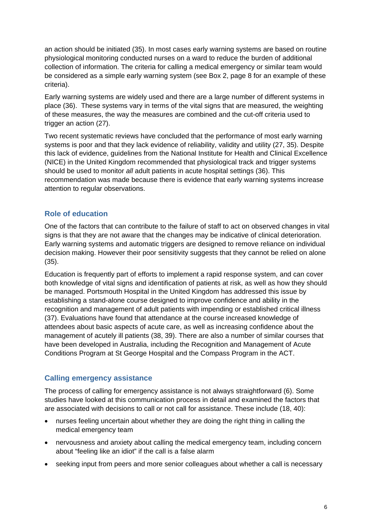an action should be initiated (35). In most cases early warning systems are based on routine physiological monitoring conducted nurses on a ward to reduce the burden of additional collection of information. The criteria for calling a medical emergency or similar team would be considered as a simple early warning system (see Box 2, page 8 for an example of these criteria).

Early warning systems are widely used and there are a large number of different systems in place (36). These systems vary in terms of the vital signs that are measured, the weighting of these measures, the way the measures are combined and the cut-off criteria used to trigger an action (27).

Two recent systematic reviews have concluded that the performance of most early warning systems is poor and that they lack evidence of reliability, validity and utility (27, 35). Despite this lack of evidence, guidelines from the National Institute for Health and Clinical Excellence (NICE) in the United Kingdom recommended that physiological track and trigger systems should be used to monitor *all* adult patients in acute hospital settings (36). This recommendation was made because there is evidence that early warning systems increase attention to regular observations.

# **Role of education**

One of the factors that can contribute to the failure of staff to act on observed changes in vital signs is that they are not aware that the changes may be indicative of clinical deterioration. Early warning systems and automatic triggers are designed to remove reliance on individual decision making. However their poor sensitivity suggests that they cannot be relied on alone (35).

Education is frequently part of efforts to implement a rapid response system, and can cover both knowledge of vital signs and identification of patients at risk, as well as how they should be managed. Portsmouth Hospital in the United Kingdom has addressed this issue by establishing a stand-alone course designed to improve confidence and ability in the recognition and management of adult patients with impending or established critical illness (37). Evaluations have found that attendance at the course increased knowledge of attendees about basic aspects of acute care, as well as increasing confidence about the management of acutely ill patients (38, 39). There are also a number of similar courses that have been developed in Australia, including the Recognition and Management of Acute Conditions Program at St George Hospital and the Compass Program in the ACT.

## **Calling emergency assistance**

The process of calling for emergency assistance is not always straightforward (6). Some studies have looked at this communication process in detail and examined the factors that are associated with decisions to call or not call for assistance. These include (18, 40):

- nurses feeling uncertain about whether they are doing the right thing in calling the medical emergency team
- nervousness and anxiety about calling the medical emergency team, including concern about "feeling like an idiot" if the call is a false alarm
- seeking input from peers and more senior colleagues about whether a call is necessary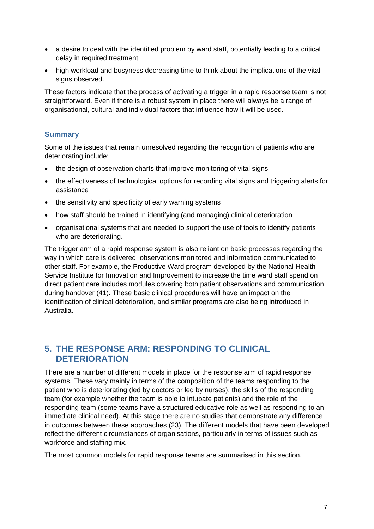- a desire to deal with the identified problem by ward staff, potentially leading to a critical delay in required treatment
- high workload and busyness decreasing time to think about the implications of the vital signs observed.

These factors indicate that the process of activating a trigger in a rapid response team is not straightforward. Even if there is a robust system in place there will always be a range of organisational, cultural and individual factors that influence how it will be used.

# **Summary**

Some of the issues that remain unresolved regarding the recognition of patients who are deteriorating include:

- the design of observation charts that improve monitoring of vital signs
- the effectiveness of technological options for recording vital signs and triggering alerts for assistance
- the sensitivity and specificity of early warning systems
- how staff should be trained in identifying (and managing) clinical deterioration
- organisational systems that are needed to support the use of tools to identify patients who are deteriorating.

The trigger arm of a rapid response system is also reliant on basic processes regarding the way in which care is delivered, observations monitored and information communicated to other staff. For example, the Productive Ward program developed by the National Health Service Institute for Innovation and Improvement to increase the time ward staff spend on direct patient care includes modules covering both patient observations and communication during handover (41). These basic clinical procedures will have an impact on the identification of clinical deterioration, and similar programs are also being introduced in Australia.

# **5. THE RESPONSE ARM: RESPONDING TO CLINICAL DETERIORATION**

There are a number of different models in place for the response arm of rapid response systems. These vary mainly in terms of the composition of the teams responding to the patient who is deteriorating (led by doctors or led by nurses), the skills of the responding team (for example whether the team is able to intubate patients) and the role of the responding team (some teams have a structured educative role as well as responding to an immediate clinical need). At this stage there are no studies that demonstrate any difference in outcomes between these approaches (23). The different models that have been developed reflect the different circumstances of organisations, particularly in terms of issues such as workforce and staffing mix.

The most common models for rapid response teams are summarised in this section.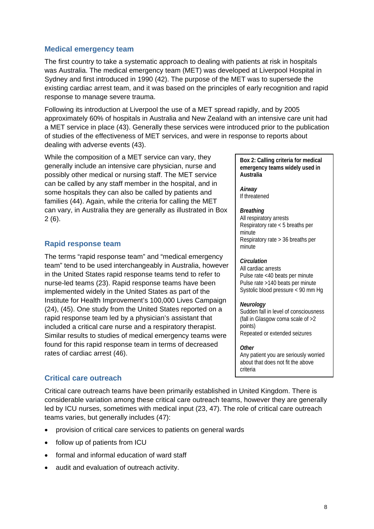## **Medical emergency team**

The first country to take a systematic approach to dealing with patients at risk in hospitals was Australia. The medical emergency team (MET) was developed at Liverpool Hospital in Sydney and first introduced in 1990 (42). The purpose of the MET was to supersede the existing cardiac arrest team, and it was based on the principles of early recognition and rapid response to manage severe trauma.

Following its introduction at Liverpool the use of a MET spread rapidly, and by 2005 approximately 60% of hospitals in Australia and New Zealand with an intensive care unit had a MET service in place (43). Generally these services were introduced prior to the publication of studies of the effectiveness of MET services, and were in response to reports about dealing with adverse events (43).

While the composition of a MET service can vary, they generally include an intensive care physician, nurse and possibly other medical or nursing staff. The MET service can be called by any staff member in the hospital, and in some hospitals they can also be called by patients and families (44). Again, while the criteria for calling the MET can vary, in Australia they are generally as illustrated in Box 2 (6).

## **Rapid response team**

The terms "rapid response team" and "medical emergency team" tend to be used interchangeably in Australia, however in the United States rapid response teams tend to refer to nurse-led teams (23). Rapid response teams have been implemented widely in the United States as part of the Institute for Health Improvement's 100,000 Lives Campaign (24), (45). One study from the United States reported on a rapid response team led by a physician's assistant that included a critical care nurse and a respiratory therapist. Similar results to studies of medical emergency teams were found for this rapid response team in terms of decreased rates of cardiac arrest (46).

**Box 2: Calling criteria for medical emergency teams widely used in Australia** 

*Airway*  If threatened

#### *Breathing*

All respiratory arrests Respiratory rate < 5 breaths per minute Respiratory rate > 36 breaths per minute

#### *Circulation*

All cardiac arrests Pulse rate <40 beats per minute Pulse rate >140 beats per minute Systolic blood pressure < 90 mm Hg

#### *Neurology*

Sudden fall in level of consciousness (fall in Glasgow coma scale of >2 points) Repeated or extended seizures

#### *Other*

Any patient you are seriously worried about that does not fit the above criteria

## **Critical care outreach**

Critical care outreach teams have been primarily established in United Kingdom. There is considerable variation among these critical care outreach teams, however they are generally led by ICU nurses, sometimes with medical input (23, 47). The role of critical care outreach teams varies, but generally includes (47):

- provision of critical care services to patients on general wards
- follow up of patients from ICU
- formal and informal education of ward staff
- audit and evaluation of outreach activity.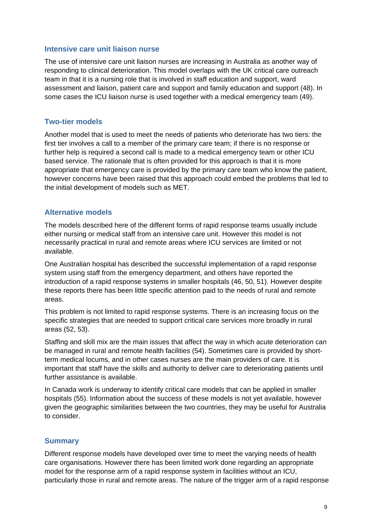### **Intensive care unit liaison nurse**

The use of intensive care unit liaison nurses are increasing in Australia as another way of responding to clinical deterioration. This model overlaps with the UK critical care outreach team in that it is a nursing role that is involved in staff education and support, ward assessment and liaison, patient care and support and family education and support (48). In some cases the ICU liaison nurse is used together with a medical emergency team (49).

### **Two-tier models**

Another model that is used to meet the needs of patients who deteriorate has two tiers: the first tier involves a call to a member of the primary care team; if there is no response or further help is required a second call is made to a medical emergency team or other ICU based service. The rationale that is often provided for this approach is that it is more appropriate that emergency care is provided by the primary care team who know the patient, however concerns have been raised that this approach could embed the problems that led to the initial development of models such as MET.

### **Alternative models**

The models described here of the different forms of rapid response teams usually include either nursing or medical staff from an intensive care unit. However this model is not necessarily practical in rural and remote areas where ICU services are limited or not available.

One Australian hospital has described the successful implementation of a rapid response system using staff from the emergency department, and others have reported the introduction of a rapid response systems in smaller hospitals (46, 50, 51). However despite these reports there has been little specific attention paid to the needs of rural and remote areas.

This problem is not limited to rapid response systems. There is an increasing focus on the specific strategies that are needed to support critical care services more broadly in rural areas (52, 53).

Staffing and skill mix are the main issues that affect the way in which acute deterioration can be managed in rural and remote health facilities (54). Sometimes care is provided by shortterm medical locums, and in other cases nurses are the main providers of care. It is important that staff have the skills and authority to deliver care to deteriorating patients until further assistance is available.

In Canada work is underway to identify critical care models that can be applied in smaller hospitals (55). Information about the success of these models is not yet available, however given the geographic similarities between the two countries, they may be useful for Australia to consider.

### **Summary**

Different response models have developed over time to meet the varying needs of health care organisations. However there has been limited work done regarding an appropriate model for the response arm of a rapid response system in facilities without an ICU, particularly those in rural and remote areas. The nature of the trigger arm of a rapid response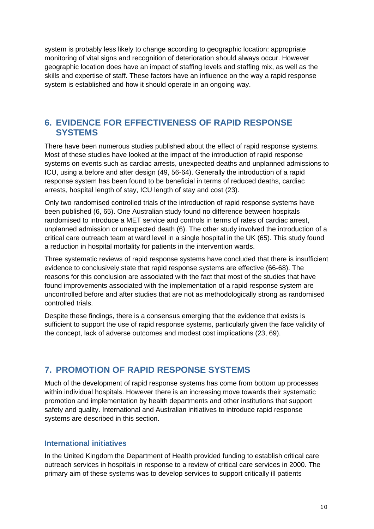system is probably less likely to change according to geographic location: appropriate monitoring of vital signs and recognition of deterioration should always occur. However geographic location does have an impact of staffing levels and staffing mix, as well as the skills and expertise of staff. These factors have an influence on the way a rapid response system is established and how it should operate in an ongoing way.

# **6. EVIDENCE FOR EFFECTIVENESS OF RAPID RESPONSE SYSTEMS**

There have been numerous studies published about the effect of rapid response systems. Most of these studies have looked at the impact of the introduction of rapid response systems on events such as cardiac arrests, unexpected deaths and unplanned admissions to ICU, using a before and after design (49, 56-64). Generally the introduction of a rapid response system has been found to be beneficial in terms of reduced deaths, cardiac arrests, hospital length of stay, ICU length of stay and cost (23).

Only two randomised controlled trials of the introduction of rapid response systems have been published (6, 65). One Australian study found no difference between hospitals randomised to introduce a MET service and controls in terms of rates of cardiac arrest, unplanned admission or unexpected death (6). The other study involved the introduction of a critical care outreach team at ward level in a single hospital in the UK (65). This study found a reduction in hospital mortality for patients in the intervention wards.

Three systematic reviews of rapid response systems have concluded that there is insufficient evidence to conclusively state that rapid response systems are effective (66-68). The reasons for this conclusion are associated with the fact that most of the studies that have found improvements associated with the implementation of a rapid response system are uncontrolled before and after studies that are not as methodologically strong as randomised controlled trials.

Despite these findings, there is a consensus emerging that the evidence that exists is sufficient to support the use of rapid response systems, particularly given the face validity of the concept, lack of adverse outcomes and modest cost implications (23, 69).

# **7. PROMOTION OF RAPID RESPONSE SYSTEMS**

Much of the development of rapid response systems has come from bottom up processes within individual hospitals. However there is an increasing move towards their systematic promotion and implementation by health departments and other institutions that support safety and quality. International and Australian initiatives to introduce rapid response systems are described in this section.

# **International initiatives**

In the United Kingdom the Department of Health provided funding to establish critical care outreach services in hospitals in response to a review of critical care services in 2000. The primary aim of these systems was to develop services to support critically ill patients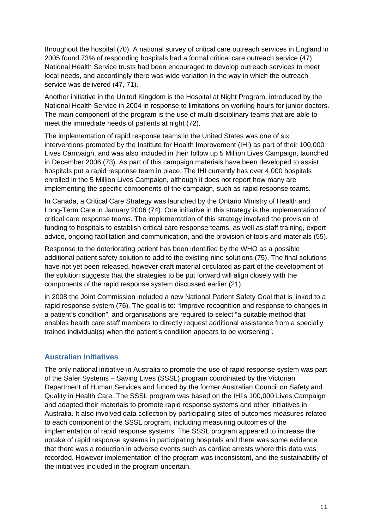throughout the hospital (70). A national survey of critical care outreach services in England in 2005 found 73% of responding hospitals had a formal critical care outreach service (47). National Health Service trusts had been encouraged to develop outreach services to meet local needs, and accordingly there was wide variation in the way in which the outreach service was delivered (47, 71).

Another initiative in the United Kingdom is the Hospital at Night Program, introduced by the National Health Service in 2004 in response to limitations on working hours for junior doctors. The main component of the program is the use of multi-disciplinary teams that are able to meet the immediate needs of patients at night (72).

The implementation of rapid response teams in the United States was one of six interventions promoted by the Institute for Health Improvement (IHI) as part of their 100,000 Lives Campaign, and was also included in their follow up 5 Million Lives Campaign, launched in December 2006 (73). As part of this campaign materials have been developed to assist hospitals put a rapid response team in place. The IHI currently has over 4,000 hospitals enrolled in the 5 Million Lives Campaign, although it does not report how many are implementing the specific components of the campaign, such as rapid response teams.

In Canada, a Critical Care Strategy was launched by the Ontario Ministry of Health and Long-Term Care in January 2006 (74). One initiative in this strategy is the implementation of critical care response teams. The implementation of this strategy involved the provision of funding to hospitals to establish critical care response teams, as well as staff training, expert advice, ongoing facilitation and communication, and the provision of tools and materials (55).

Response to the deteriorating patient has been identified by the WHO as a possible additional patient safety solution to add to the existing nine solutions (75). The final solutions have not yet been released, however draft material circulated as part of the development of the solution suggests that the strategies to be put forward will align closely with the components of the rapid response system discussed earlier (21).

in 2008 the Joint Commission included a new National Patient Safety Goal that is linked to a rapid response system (76). The goal is to: "Improve recognition and response to changes in a patient's condition", and organisations are required to select "a suitable method that enables health care staff members to directly request additional assistance from a specially trained individual(s) when the patient's condition appears to be worsening".

# **Australian initiatives**

The only national initiative in Australia to promote the use of rapid response system was part of the Safer Systems – Saving Lives (SSSL) program coordinated by the Victorian Department of Human Services and funded by the former Australian Council on Safety and Quality in Health Care. The SSSL program was based on the IHI's 100,000 Lives Campaign and adapted their materials to promote rapid response systems and other initiatives in Australia. It also involved data collection by participating sites of outcomes measures related to each component of the SSSL program, including measuring outcomes of the implementation of rapid response systems. The SSSL program appeared to increase the uptake of rapid response systems in participating hospitals and there was some evidence that there was a reduction in adverse events such as cardiac arrests where this data was recorded. However implementation of the program was inconsistent, and the sustainability of the initiatives included in the program uncertain.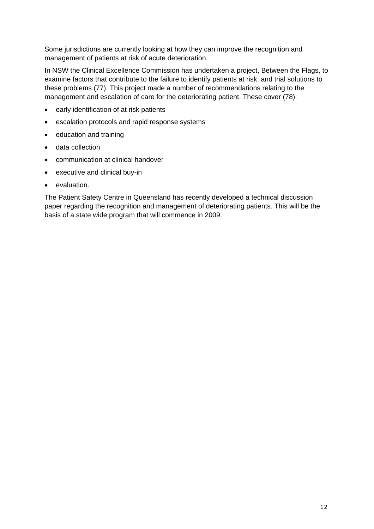Some jurisdictions are currently looking at how they can improve the recognition and management of patients at risk of acute deterioration.

In NSW the Clinical Excellence Commission has undertaken a project, Between the Flags, to examine factors that contribute to the failure to identify patients at risk, and trial solutions to these problems (77). This project made a number of recommendations relating to the management and escalation of care for the deteriorating patient. These cover (78):

- early identification of at risk patients
- escalation protocols and rapid response systems
- education and training
- data collection
- communication at clinical handover
- executive and clinical buy-in
- evaluation.

The Patient Safety Centre in Queensland has recently developed a technical discussion paper regarding the recognition and management of deteriorating patients. This will be the basis of a state wide program that will commence in 2009.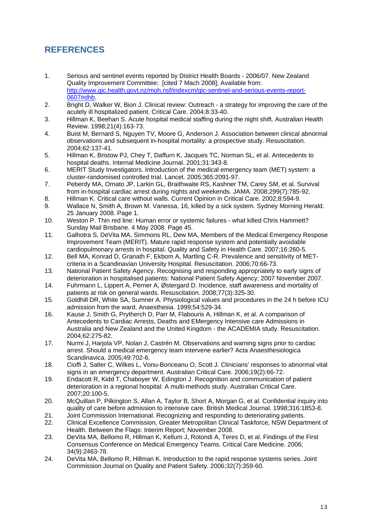# **REFERENCES**

- 1. Serious and sentinel events reported by District Health Boards 2006/07. New Zealand Quality Improvement Committee; [cited 7 Mach 2008]; Available from: http://www.qic.health.govt.nz/moh.nsf/indexcm/qic-sentinel-and-serious-events-report-0607#dhb.
- 2. Bright D, Walker W, Bion J. Clinical review: Outreach a strategy for improving the care of the acutely ill hospitalized patient. Critical Care. 2004;8:33-40.
- 3. Hillman K, Beehan S. Acute hospital medical staffing during the night shift. Australian Health Review. 1998;21(4):163-73.
- 4. Buist M, Bernard S, Nguyen TV, Moore G, Anderson J. Association between clinical abnormal observations and subsequent in-hospital mortality: a prospective study. Resuscitation. 2004;62:137-41.
- 5. Hillman K, Bristow PJ, Chey T, Daffurn K, Jacques TC, Norman SL, et al. Antecedents to hospital deaths. Internal Medicine Journal. 2001;31:343-8.
- 6. MERIT Study Investigators. Introduction of the medical emergency team (MET) system: a cluster-randomised controlled trial. Lancet. 2005;365:2091-97.
- 7. Peberdy MA, Ornato JP, Larkin GL, Braithwaite RS, Kashner TM, Carey SM, et al. Survival from in-hospital cardiac arrest during nights and weekends. JAMA. 2008;299(7):785-92.
- 8. Hillman K. Critical care without walls. Current Opinion in Critical Care. 2002;8:594-9.
- 9. Wallace N, Smith A, Brown M. Vanessa, 16, killed by a sick system. Sydney Morning Herald. 25 January 2008. Page 1.
- 10. Weston P. Thin red line: Human error or systemic failures what killed Chris Hammett? Sunday Mail Brisbane. 4 May 2008. Page 45.
- 11. Galhotra S, DeVita MA, Simmons RL, Dew MA, Members of the Medical Emergency Respose Improvement Team (MERIT). Mature rapid response system and potentially avoidable cardiopulmonary arrests in hospital. Quality and Safety in Health Care. 2007;16:260-5.
- 12. Bell MA, Konrad D, Granath F, Ekbom A, Martling C-R. Prevalence and sensitivity of METcriteria in a Scandinavian University Hospital. Resuscitation. 2006;70:66-73.
- 13. National Patient Safety Agency. Recognising and responding appropriately to early signs of deterioration in hospitalised patients: National Patient Safety Agency; 2007 November 2007.
- 14. Fuhrmann L, Lippert A, Perner A, Østergard D. Incidence, staff awareness and mortality of patients at risk on general wards. Resuscitation. 2008;77(3):325-30.
- 15. Goldhill DR, White SA, Sumner A. Physiological values and procedures in the 24 h before ICU admission from the ward. Anaesthesia. 1999;54:529-34.
- 16. Kause J, Smith G, Prytherch D, Parr M, Flabouris A, Hillman K, et al. A comparison of Antecedents to Cardiac Arrests, Deaths and EMergency Intensive care Admissions in Australia and New Zealand and the United Kingdom - the ACADEMIA study. Resuscitation. 2004;62:275-82.
- 17. Nurmi J, Harjola VP, Nolan J, Castrén M. Observations and warning signs prior to cardiac arrest. Should a medical emergency team intervene earlier? Acta Anaesthesiologica Scandinavica. 2005;49:702-6.
- 18. Cioffi J, Salter C, Wilkes L, Vonu-Boriceanu O, Scott J. Clinicians' responses to abnormal vital signs in an emergency department. Australian Critical Care. 2006;19(2):66-72.
- 19. Endacott R, Kidd T, Chaboyer W, Edington J. Recognition and communication of patient deterioration in a regional hospital: A multi-methods study. Australian Critical Care. 2007;20:100-5.
- 20. McQuillan P, Pilkington S, Allan A, Taylor B, Short A, Morgan G, et al. Confidential inquiry into quality of care before admission to intensive care. British Medical Journal. 1998;316:1853-8.
- 21. Joint Commission International. Recognizing and responding to deteriorating patients.
- 22. Clinical Excellence Commission, Greater Metropolitan Clinical Taskforce, NSW Department of Health. Between the Flags: Interim Report; November 2008.
- 23. DeVita MA, Bellomo R, Hillman K, Kellum J, Rotondi A, Teres D, et al. Findings of the First Consensus Conference on Medical Emergency Teams. Critical Care Medicine. 2006; 34(9):2463-78.
- 24. DeVita MA, Bellomo R, Hillman K. Introduction to the rapid response systems series. Joint Commission Journal on Quality and Patient Safety. 2006;32(7):359-60.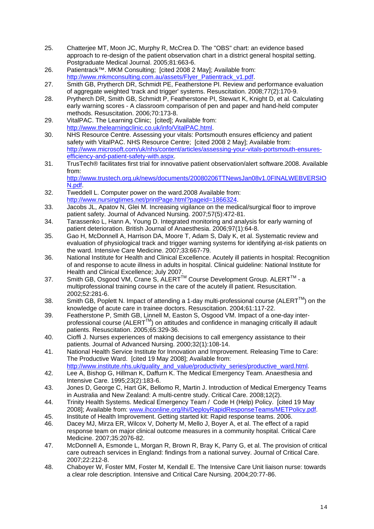- 25. Chatterjee MT, Moon JC, Murphy R, McCrea D. The "OBS" chart: an evidence based approach to re-design of the patient observation chart in a district general hospital setting. Postgraduate Medical Journal. 2005;81:663-6.
- 26. Patientrack™. MKM Consulting; [cited 2008 2 May]; Available from: http://www.mkmconsulting.com.au/assets/Flyer\_Patientrack\_v1.pdf.
- 27. Smith GB, Prytherch DR, Schmidt PE, Featherstone PI. Review and performance evaluation of aggregate weighted 'track and trigger' systems. Resuscitation. 2008;77(2):170-9.
- 28. Prytherch DR, Smith GB, Schmidt P, Featherstone PI, Stewart K, Knight D, et al. Calculating early warning scores - A classroom comparison of pen and paper and hand-held computer methods. Resuscitation. 2006;70:173-8.
- 29. VitalPAC. The Learning Clinic; [cited]; Available from: http://www.thelearningclinic.co.uk/info/VitalPAC.html.
- 30. NHS Resource Centre. Assessing your vitals: Portsmouth ensures efficiency and patient safety with VitalPAC. NHS Resource Centre: [cited 2008 2 May]; Available from: http://www.microsoft.com/uk/nhs/content/articles/assessing-your-vitals-portsmouth-ensuresefficiency-and-patient-safety-with.aspx.
- 31. TrusTech® facilitates first trial for innovative patient observation/alert software.2008. Available from: http://www.trustech.org.uk/news/documents/20080206TTNewsJan08v1.0FINALWEBVERSIO
	- N.pdf.
- 32. Tweddell L. Computer power on the ward.2008 Available from: http://www.nursingtimes.net/printPage.html?pageid=1866324.
- 33. Jacobs JL, Apatov N, Glei M. Increasing vigilance on the medical/surgical floor to improve patient safety. Journal of Advanced Nursing. 2007;57(5):472-81.
- 34. Tarassenko L, Hann A, Young D. Integrated monitoring and analysis for early warning of patient deterioration. British Journal of Anaesthesia. 2006;97(1):64-8.
- 35. Gao H, McDonnell A, Harrison DA, Moore T, Adam S, Daly K, et al. Systematic review and evaluation of physiological track and trigger warning systems for identifying at-risk patients on the ward. Intensive Care Medicine. 2007;33:667-79.
- 36. National Institute for Health and Clinical Excellence. Acutely ill patients in hospital: Recognition of and response to acute illness in adults in hospital. Clinical guideline: National Institute for Health and Clinical Excellence; July 2007.
- 37. Smith GB, Osgood VM, Crane S, ALERTTM Course Development Group. ALERTTM a multiprofessional training course in the care of the acutely ill patient. Resuscitation. 2002;52:281-6.
- 38. Smith GB, Poplett N. Impact of attending a 1-day multi-professional course (ALERT<sup>™</sup>) on the knowledge of acute care in trainee doctors. Resuscitation. 2004;61:117-22.
- 39. Featherstone P, Smith GB, Linnell M, Easton S, Osgood VM. Impact of a one-day interprofessional course (ALERT<sup>™</sup>) on attitudes and confidence in managing critically ill adault patients. Resuscitation. 2005;65:329-36.
- 40. Cioffi J. Nurses experiences of making decisions to call emergency assistance to their patients. Journal of Advanced Nursing. 2000;32(1):108-14.
- 41. National Health Service Institute for Innovation and Improvement. Releasing Time to Care: The Productive Ward. [cited 19 May 2008]; Available from: http://www.institute.nhs.uk/quality\_and\_value/productivity\_series/productive\_ward.html.
- 42. Lee A, Bishop G, Hillman K, Daffurn K. The Medical Emergency Team. Anaesthesia and Intensive Care. 1995;23(2):183-6.
- 43. Jones D, George C, Hart GK, Bellomo R, Martin J. Introduction of Medical Emergency Teams in Australia and New Zealand: A multi-centre study. Critical Care. 2008;12(2).
- 44. Trinity Health Systems. Medical Emergency Team / Code H (Help) Policy. [cited 19 May 20081; Available from: www.ihconline.org/ihi/DeployRapidResponseTeams/METPolicy.pdf.
- 45. Institute of Health Improvement. Getting started kit: Rapid response teams. 2006.
- 46. Dacey MJ, Mirza ER, Wilcox V, Doherty M, Mello J, Boyer A, et al. The effect of a rapid response team on major clinical outcome measures in a community hospital. Critical Care Medicine. 2007;35:2076-82.
- 47. McDonnell A, Esmonde L, Morgan R, Brown R, Bray K, Parry G, et al. The provision of critical care outreach services in England: findings from a national survey. Journal of Critical Care. 2007;22:212-8.
- 48. Chaboyer W, Foster MM, Foster M, Kendall E. The Intensive Care Unit liaison nurse: towards a clear role description. Intensive and Critical Care Nursing. 2004;20:77-86.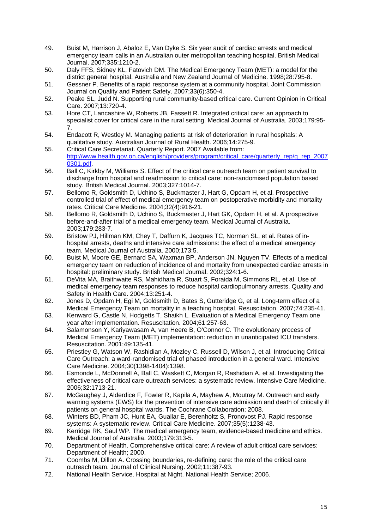- 49. Buist M, Harrison J, Abaloz E, Van Dyke S. Six year audit of cardiac arrests and medical emergency team calls in an Australian outer metropolitan teaching hospital. British Medical Journal. 2007;335:1210-2.
- 50. Daly FFS, Sidney KL, Fatovich DM. The Medical Emergency Team (MET): a model for the district general hospital. Australia and New Zealand Journal of Medicine. 1998;28:795-8.
- 51. Gessner P. Benefits of a rapid response system at a community hospital. Joint Commission Journal on Quality and Patient Safety. 2007;33(6):350-4.
- 52. Peake SL, Judd N. Supporting rural community-based critical care. Current Opinion in Critical Care. 2007;13:720-4.
- 53. Hore CT, Lancashire W, Roberts JB, Fassett R. Integrated critical care: an approach to specialist cover for critical care in the rural setting. Medical Journal of Australia. 2003;179:95- 7.
- 54. Endacott R, Westley M. Managing patients at risk of deterioration in rural hospitals: A qualitative study. Australian Journal of Rural Health. 2006;14:275-9.
- 55. Critical Care Secretariat. Quarterly Report. 2007 Available from: http://www.health.gov.on.ca/english/providers/program/critical\_care/quarterly\_rep/q\_rep\_2007 0301.pdf.
- 56. Ball C, Kirkby M, Williams S. Effect of the critical care outreach team on patient survival to discharge from hospital and readmission to critical care: non-randomised population based study. British Medical Journal. 2003;327:1014-7.
- 57. Bellomo R, Goldsmith D, Uchino S, Buckmaster J, Hart G, Opdam H, et al. Prospective controlled trial of effect of medical emergency team on postoperative morbidity and mortality rates. Critical Care Medicine. 2004;32(4):916-21.
- 58. Bellomo R, Goldsmith D, Uchino S, Buckmaster J, Hart GK, Opdam H, et al. A prospective before-and-after trial of a medical emergency team. Medical Journal of Australia. 2003;179:283-7.
- 59. Bristow PJ, Hillman KM, Chey T, Daffurn K, Jacques TC, Norman SL, et al. Rates of inhospital arrests, deaths and intensive care admissions: the effect of a medical emergency team. Medical Journal of Australia. 2000;173:5.
- 60. Buist M, Moore GE, Bernard SA, Waxman BP, Anderson JN, Nguyen TV. Effects of a medical emergency team on reduction of incidence of and mortality from unexpected cardiac arrests in hospital: preliminary study. British Medical Journal. 2002;324:1-6.
- 61. DeVita MA, Braithwaite RS, Mahidhara R, Stuart S, Foraida M, Simmons RL, et al. Use of medical emergency team responses to reduce hospital cardiopulmonary arrests. Quality and Safety in Health Care. 2004;13:251-4.
- 62. Jones D, Opdam H, Egi M, Goldsmith D, Bates S, Gutteridge G, et al. Long-term effect of a Medical Emergency Team on mortality in a teaching hospital. Resuscitation. 2007;74:235-41.
- 63. Kenward G, Castle N, Hodgetts T, Shaikh L. Evaluation of a Medical Emergency Team one year after implementation. Resuscitation. 2004;61:257-63.
- 64. Salamonson Y, Kariyawasam A, van Heere B, O'Connor C. The evolutionary process of Medical Emergency Team (MET) implementation: reduction in unanticipated ICU transfers. Resuscitation. 2001;49:135-41.
- 65. Priestley G, Watson W, Rashidian A, Mozley C, Russell D, Wilson J, et al. Introducing Critical Care Outreach: a ward-randomised trial of phased introduction in a general ward. Intensive Care Medicine. 2004;30(1398-1404):1398.
- 66. Esmonde L, McDonnell A, Ball C, Waskett C, Morgan R, Rashidian A, et al. Investigating the effectiveness of critical care outreach services: a systematic review. Intensive Care Medicine. 2006;32:1713-21.
- 67. McGaughey J, Alderdice F, Fowler R, Kapila A, Mayhew A, Moutray M. Outreach and early warning systems (EWS) for the prevention of intensive care admission and death of critically ill patients on general hospital wards. The Cochrane Collaboration; 2008.
- 68. Winters BD, Pham JC, Hunt EA, Guallar E, Berenholtz S, Pronovost PJ. Rapid response systems: A systematic review. Critical Care Medicine. 2007;35(5):1238-43.
- 69. Kerridge RK, Saul WP. The medical emergency team, evidence-based medicine and ethics. Medical Journal of Australia. 2003;179:313-5.
- 70. Department of Health. Comprehensive critical care: A review of adult critical care services: Department of Health; 2000.
- 71. Coombs M, Dillon A. Crossing boundaries, re-defining care: the role of the critical care outreach team. Journal of Clinical Nursing. 2002;11:387-93.
- 72. National Health Service. Hospital at Night. National Health Service; 2006.